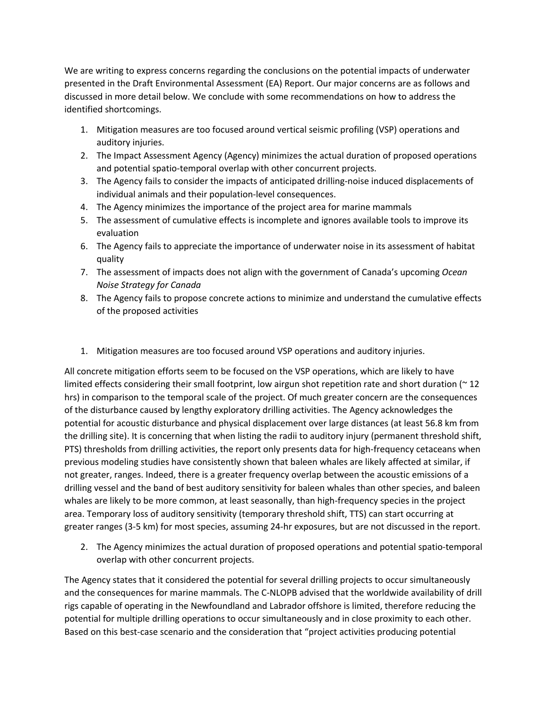We are writing to express concerns regarding the conclusions on the potential impacts of underwater presented in the Draft Environmental Assessment (EA) Report. Our major concerns are as follows and discussed in more detail below. We conclude with some recommendations on how to address the identified shortcomings.

- 1. Mitigation measures are too focused around vertical seismic profiling (VSP) operations and auditory injuries.
- 2. The Impact Assessment Agency (Agency) minimizes the actual duration of proposed operations and potential spatio-temporal overlap with other concurrent projects.
- 3. The Agency fails to consider the impacts of anticipated drilling-noise induced displacements of individual animals and their population-level consequences.
- 4. The Agency minimizes the importance of the project area for marine mammals
- 5. The assessment of cumulative effects is incomplete and ignores available tools to improve its evaluation
- 6. The Agency fails to appreciate the importance of underwater noise in its assessment of habitat quality
- 7. The assessment of impacts does not align with the government of Canada's upcoming *Ocean Noise Strategy for Canada*
- 8. The Agency fails to propose concrete actions to minimize and understand the cumulative effects of the proposed activities
- 1. Mitigation measures are too focused around VSP operations and auditory injuries.

All concrete mitigation efforts seem to be focused on the VSP operations, which are likely to have limited effects considering their small footprint, low airgun shot repetition rate and short duration  $(212)$ hrs) in comparison to the temporal scale of the project. Of much greater concern are the consequences of the disturbance caused by lengthy exploratory drilling activities. The Agency acknowledges the potential for acoustic disturbance and physical displacement over large distances (at least 56.8 km from the drilling site). It is concerning that when listing the radii to auditory injury (permanent threshold shift, PTS) thresholds from drilling activities, the report only presents data for high-frequency cetaceans when previous modeling studies have consistently shown that baleen whales are likely affected at similar, if not greater, ranges. Indeed, there is a greater frequency overlap between the acoustic emissions of a drilling vessel and the band of best auditory sensitivity for baleen whales than other species, and baleen whales are likely to be more common, at least seasonally, than high-frequency species in the project area. Temporary loss of auditory sensitivity (temporary threshold shift, TTS) can start occurring at greater ranges (3-5 km) for most species, assuming 24-hr exposures, but are not discussed in the report.

2. The Agency minimizes the actual duration of proposed operations and potential spatio-temporal overlap with other concurrent projects.

The Agency states that it considered the potential for several drilling projects to occur simultaneously and the consequences for marine mammals. The C-NLOPB advised that the worldwide availability of drill rigs capable of operating in the Newfoundland and Labrador offshore is limited, therefore reducing the potential for multiple drilling operations to occur simultaneously and in close proximity to each other. Based on this best-case scenario and the consideration that "project activities producing potential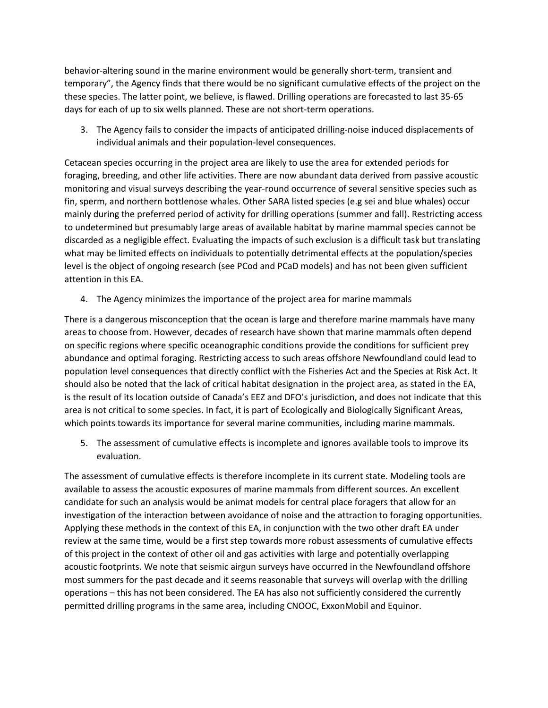behavior-altering sound in the marine environment would be generally short-term, transient and temporary", the Agency finds that there would be no significant cumulative effects of the project on the these species. The latter point, we believe, is flawed. Drilling operations are forecasted to last 35-65 days for each of up to six wells planned. These are not short-term operations.

3. The Agency fails to consider the impacts of anticipated drilling-noise induced displacements of individual animals and their population-level consequences.

Cetacean species occurring in the project area are likely to use the area for extended periods for foraging, breeding, and other life activities. There are now abundant data derived from passive acoustic monitoring and visual surveys describing the year-round occurrence of several sensitive species such as fin, sperm, and northern bottlenose whales. Other SARA listed species (e.g sei and blue whales) occur mainly during the preferred period of activity for drilling operations (summer and fall). Restricting access to undetermined but presumably large areas of available habitat by marine mammal species cannot be discarded as a negligible effect. Evaluating the impacts of such exclusion is a difficult task but translating what may be limited effects on individuals to potentially detrimental effects at the population/species level is the object of ongoing research (see PCod and PCaD models) and has not been given sufficient attention in this EA.

4. The Agency minimizes the importance of the project area for marine mammals

There is a dangerous misconception that the ocean is large and therefore marine mammals have many areas to choose from. However, decades of research have shown that marine mammals often depend on specific regions where specific oceanographic conditions provide the conditions for sufficient prey abundance and optimal foraging. Restricting access to such areas offshore Newfoundland could lead to population level consequences that directly conflict with the Fisheries Act and the Species at Risk Act. It should also be noted that the lack of critical habitat designation in the project area, as stated in the EA, is the result of its location outside of Canada's EEZ and DFO's jurisdiction, and does not indicate that this area is not critical to some species. In fact, it is part of Ecologically and Biologically Significant Areas, which points towards its importance for several marine communities, including marine mammals.

5. The assessment of cumulative effects is incomplete and ignores available tools to improve its evaluation.

The assessment of cumulative effects is therefore incomplete in its current state. Modeling tools are available to assess the acoustic exposures of marine mammals from different sources. An excellent candidate for such an analysis would be animat models for central place foragers that allow for an investigation of the interaction between avoidance of noise and the attraction to foraging opportunities. Applying these methods in the context of this EA, in conjunction with the two other draft EA under review at the same time, would be a first step towards more robust assessments of cumulative effects of this project in the context of other oil and gas activities with large and potentially overlapping acoustic footprints. We note that seismic airgun surveys have occurred in the Newfoundland offshore most summers for the past decade and it seems reasonable that surveys will overlap with the drilling operations – this has not been considered. The EA has also not sufficiently considered the currently permitted drilling programs in the same area, including CNOOC, ExxonMobil and Equinor.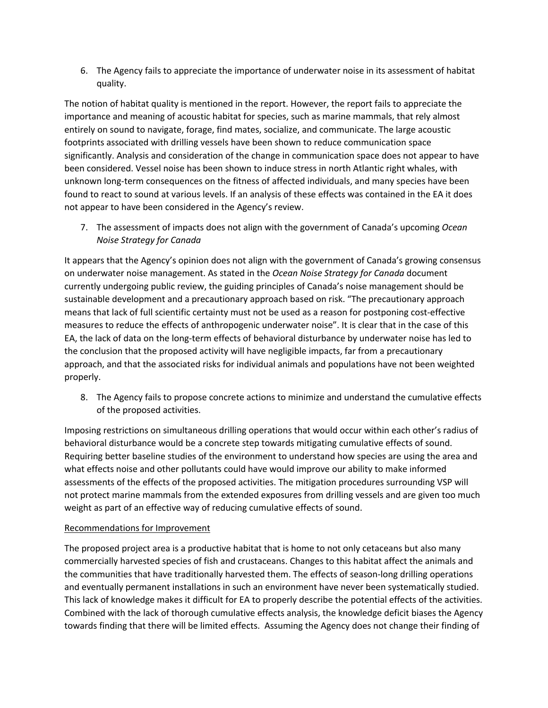6. The Agency fails to appreciate the importance of underwater noise in its assessment of habitat quality.

The notion of habitat quality is mentioned in the report. However, the report fails to appreciate the importance and meaning of acoustic habitat for species, such as marine mammals, that rely almost entirely on sound to navigate, forage, find mates, socialize, and communicate. The large acoustic footprints associated with drilling vessels have been shown to reduce communication space significantly. Analysis and consideration of the change in communication space does not appear to have been considered. Vessel noise has been shown to induce stress in north Atlantic right whales, with unknown long-term consequences on the fitness of affected individuals, and many species have been found to react to sound at various levels. If an analysis of these effects was contained in the EA it does not appear to have been considered in the Agency's review.

7. The assessment of impacts does not align with the government of Canada's upcoming *Ocean Noise Strategy for Canada*

It appears that the Agency's opinion does not align with the government of Canada's growing consensus on underwater noise management. As stated in the *Ocean Noise Strategy for Canada* document currently undergoing public review, the guiding principles of Canada's noise management should be sustainable development and a precautionary approach based on risk. "The precautionary approach means that lack of full scientific certainty must not be used as a reason for postponing cost-effective measures to reduce the effects of anthropogenic underwater noise". It is clear that in the case of this EA, the lack of data on the long-term effects of behavioral disturbance by underwater noise has led to the conclusion that the proposed activity will have negligible impacts, far from a precautionary approach, and that the associated risks for individual animals and populations have not been weighted properly.

8. The Agency fails to propose concrete actions to minimize and understand the cumulative effects of the proposed activities.

Imposing restrictions on simultaneous drilling operations that would occur within each other's radius of behavioral disturbance would be a concrete step towards mitigating cumulative effects of sound. Requiring better baseline studies of the environment to understand how species are using the area and what effects noise and other pollutants could have would improve our ability to make informed assessments of the effects of the proposed activities. The mitigation procedures surrounding VSP will not protect marine mammals from the extended exposures from drilling vessels and are given too much weight as part of an effective way of reducing cumulative effects of sound.

## Recommendations for Improvement

The proposed project area is a productive habitat that is home to not only cetaceans but also many commercially harvested species of fish and crustaceans. Changes to this habitat affect the animals and the communities that have traditionally harvested them. The effects of season-long drilling operations and eventually permanent installations in such an environment have never been systematically studied. This lack of knowledge makes it difficult for EA to properly describe the potential effects of the activities. Combined with the lack of thorough cumulative effects analysis, the knowledge deficit biases the Agency towards finding that there will be limited effects. Assuming the Agency does not change their finding of